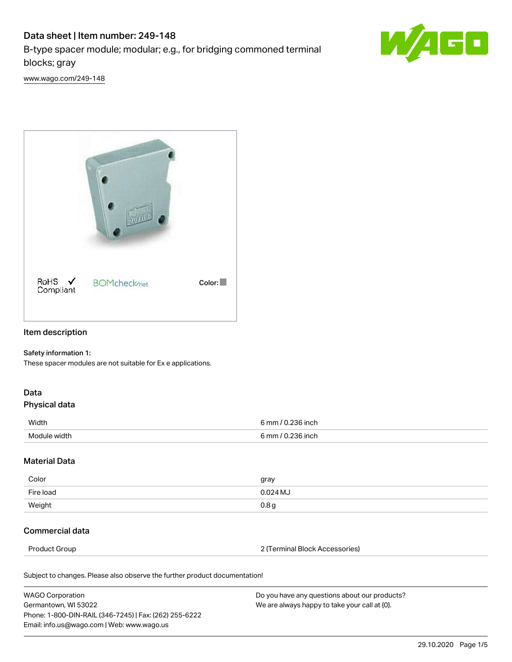# Data sheet | Item number: 249-148

B-type spacer module; modular; e.g., for bridging commoned terminal blocks; gray



[www.wago.com/249-148](http://www.wago.com/249-148)



# Item description

#### Safety information 1:

These spacer modules are not suitable for Ex e applications.

# Data

### Physical data

| Width        | 6 mm / 0.236 inch                           |
|--------------|---------------------------------------------|
| Module width | $6 \text{ mm}$ / $0 \text{ m}$<br>.236 inch |

### Material Data

| Color     | gray             |
|-----------|------------------|
| Fire load | 0.024 MJ         |
| Weight    | 0.8 <sub>g</sub> |

## Commercial data

Product Group 2 (Terminal Block Accessories)

Subject to changes. Please also observe the further product documentation!

| <b>WAGO Corporation</b>                                | Do you have any questions about our products? |
|--------------------------------------------------------|-----------------------------------------------|
| Germantown, WI 53022                                   | We are always happy to take your call at {0}. |
| Phone: 1-800-DIN-RAIL (346-7245)   Fax: (262) 255-6222 |                                               |
| Email: info.us@wago.com   Web: www.wago.us             |                                               |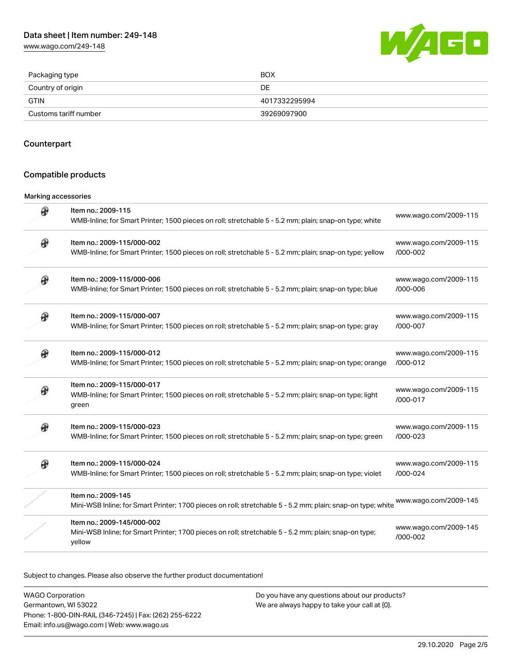[www.wago.com/249-148](http://www.wago.com/249-148)



| Packaging type        | <b>BOX</b>    |
|-----------------------|---------------|
| Country of origin     | DE            |
| <b>GTIN</b>           | 4017332295994 |
| Customs tariff number | 39269097900   |

## Counterpart

## Compatible products

#### Marking accessories

| ⊛ | Item no.: 2009-115<br>WMB-Inline; for Smart Printer; 1500 pieces on roll; stretchable 5 - 5.2 mm; plain; snap-on type; white                  | www.wago.com/2009-115             |
|---|-----------------------------------------------------------------------------------------------------------------------------------------------|-----------------------------------|
|   | Item no.: 2009-115/000-002<br>WMB-Inline; for Smart Printer; 1500 pieces on roll; stretchable 5 - 5.2 mm; plain; snap-on type; yellow         | www.wago.com/2009-115<br>/000-002 |
| ₩ | Item no.: 2009-115/000-006<br>WMB-Inline; for Smart Printer; 1500 pieces on roll; stretchable 5 - 5.2 mm; plain; snap-on type; blue           | www.wago.com/2009-115<br>/000-006 |
|   | Item no.: 2009-115/000-007<br>WMB-Inline; for Smart Printer; 1500 pieces on roll; stretchable 5 - 5.2 mm; plain; snap-on type; gray           | www.wago.com/2009-115<br>/000-007 |
|   | Item no.: 2009-115/000-012<br>WMB-Inline; for Smart Printer; 1500 pieces on roll; stretchable 5 - 5.2 mm; plain; snap-on type; orange         | www.wago.com/2009-115<br>/000-012 |
|   | Item no.: 2009-115/000-017<br>WMB-Inline; for Smart Printer; 1500 pieces on roll; stretchable 5 - 5.2 mm; plain; snap-on type; light<br>green | www.wago.com/2009-115<br>/000-017 |
| ⊛ | Item no.: 2009-115/000-023<br>WMB-Inline; for Smart Printer; 1500 pieces on roll; stretchable 5 - 5.2 mm; plain; snap-on type; green          | www.wago.com/2009-115<br>/000-023 |
| Ø | Item no.: 2009-115/000-024<br>WMB-Inline; for Smart Printer; 1500 pieces on roll; stretchable 5 - 5.2 mm; plain; snap-on type; violet         | www.wago.com/2009-115<br>/000-024 |
|   | Item no.: 2009-145<br>Mini-WSB Inline; for Smart Printer; 1700 pieces on roll; stretchable 5 - 5.2 mm; plain; snap-on type; white             | www.wago.com/2009-145             |
|   | Item no.: 2009-145/000-002<br>Mini-WSB Inline; for Smart Printer; 1700 pieces on roll; stretchable 5 - 5.2 mm; plain; snap-on type;<br>yellow | www.wago.com/2009-145<br>/000-002 |

Subject to changes. Please also observe the further product documentation!

WAGO Corporation Germantown, WI 53022 Phone: 1-800-DIN-RAIL (346-7245) | Fax: (262) 255-6222 Email: info.us@wago.com | Web: www.wago.us Do you have any questions about our products? We are always happy to take your call at {0}.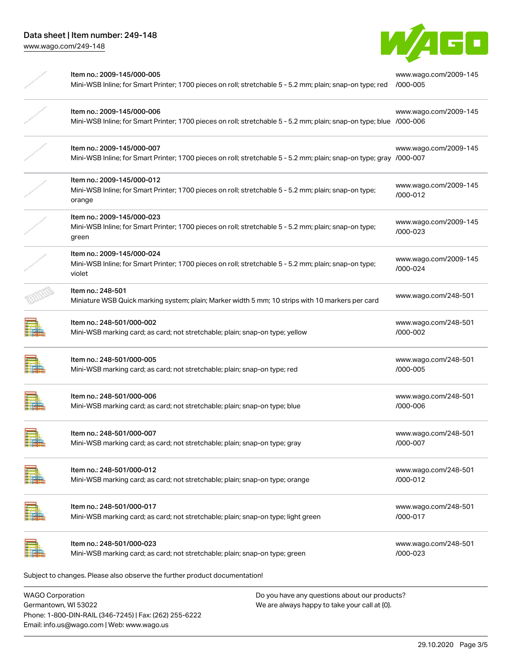

| Item no.: 2009-145/000-005<br>Mini-WSB Inline; for Smart Printer; 1700 pieces on roll; stretchable 5 - 5.2 mm; plain; snap-on type; red           | www.wago.com/2009-145<br>/000-005 |
|---------------------------------------------------------------------------------------------------------------------------------------------------|-----------------------------------|
| Item no.: 2009-145/000-006<br>Mini-WSB Inline; for Smart Printer; 1700 pieces on roll; stretchable 5 - 5.2 mm; plain; snap-on type; blue /000-006 | www.wago.com/2009-145             |
| Item no.: 2009-145/000-007<br>Mini-WSB Inline; for Smart Printer; 1700 pieces on roll; stretchable 5 - 5.2 mm; plain; snap-on type; gray /000-007 | www.wago.com/2009-145             |
| Item no.: 2009-145/000-012<br>Mini-WSB Inline; for Smart Printer; 1700 pieces on roll; stretchable 5 - 5.2 mm; plain; snap-on type;<br>orange     | www.wago.com/2009-145<br>/000-012 |
| Item no.: 2009-145/000-023<br>Mini-WSB Inline; for Smart Printer; 1700 pieces on roll; stretchable 5 - 5.2 mm; plain; snap-on type;<br>green      | www.wago.com/2009-145<br>/000-023 |
| Item no.: 2009-145/000-024<br>Mini-WSB Inline; for Smart Printer; 1700 pieces on roll; stretchable 5 - 5.2 mm; plain; snap-on type;<br>violet     | www.wago.com/2009-145<br>/000-024 |
| Item no.: 248-501<br>Miniature WSB Quick marking system; plain; Marker width 5 mm; 10 strips with 10 markers per card                             | www.wago.com/248-501              |
| Item no.: 248-501/000-002<br>Mini-WSB marking card; as card; not stretchable; plain; snap-on type; yellow                                         | www.wago.com/248-501<br>/000-002  |
| Item no.: 248-501/000-005<br>Mini-WSB marking card; as card; not stretchable; plain; snap-on type; red                                            | www.wago.com/248-501<br>/000-005  |
| Item no.: 248-501/000-006<br>Mini-WSB marking card; as card; not stretchable; plain; snap-on type; blue                                           | www.wago.com/248-501<br>/000-006  |
| Item no.: 248-501/000-007<br>Mini-WSB marking card; as card; not stretchable; plain; snap-on type; gray                                           | www.wago.com/248-501<br>/000-007  |
| Item no.: 248-501/000-012<br>Mini-WSB marking card; as card; not stretchable; plain; snap-on type; orange                                         | www.wago.com/248-501<br>/000-012  |
| Item no.: 248-501/000-017<br>Mini-WSB marking card; as card; not stretchable; plain; snap-on type; light green                                    | www.wago.com/248-501<br>/000-017  |
| Item no.: 248-501/000-023<br>Mini-WSB marking card; as card; not stretchable; plain; snap-on type; green                                          | www.wago.com/248-501<br>/000-023  |
| Subject to changes. Please also observe the further product documentation!                                                                        |                                   |
|                                                                                                                                                   |                                   |

WAGO Corporation Germantown, WI 53022 Phone: 1-800-DIN-RAIL (346-7245) | Fax: (262) 255-6222 Email: info.us@wago.com | Web: www.wago.us

Do you have any questions about our products? We are always happy to take your call at {0}.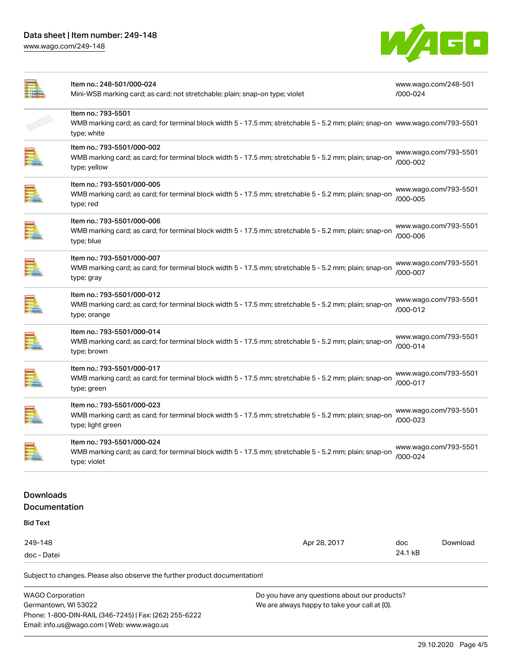[www.wago.com/249-148](http://www.wago.com/249-148)



|                                          | Item no.: 248-501/000-024<br>Mini-WSB marking card; as card; not stretchable; plain; snap-on type; violet                                                          |              | www.wago.com/248-501<br>/000-024  |          |
|------------------------------------------|--------------------------------------------------------------------------------------------------------------------------------------------------------------------|--------------|-----------------------------------|----------|
|                                          | Item no.: 793-5501<br>WMB marking card; as card; for terminal block width 5 - 17.5 mm; stretchable 5 - 5.2 mm; plain; snap-on www.wago.com/793-5501<br>type; white |              |                                   |          |
|                                          | Item no.: 793-5501/000-002<br>WMB marking card; as card; for terminal block width 5 - 17.5 mm; stretchable 5 - 5.2 mm; plain; snap-on<br>type; yellow              |              | www.wago.com/793-5501<br>/000-002 |          |
|                                          | Item no.: 793-5501/000-005<br>WMB marking card; as card; for terminal block width 5 - 17.5 mm; stretchable 5 - 5.2 mm; plain; snap-on<br>type; red                 |              | www.wago.com/793-5501<br>/000-005 |          |
|                                          | Item no.: 793-5501/000-006<br>WMB marking card; as card; for terminal block width 5 - 17.5 mm; stretchable 5 - 5.2 mm; plain; snap-on<br>type; blue                |              | www.wago.com/793-5501<br>/000-006 |          |
|                                          | Item no.: 793-5501/000-007<br>WMB marking card; as card; for terminal block width 5 - 17.5 mm; stretchable 5 - 5.2 mm; plain; snap-on<br>type; gray                |              | www.wago.com/793-5501<br>/000-007 |          |
|                                          | Item no.: 793-5501/000-012<br>WMB marking card; as card; for terminal block width 5 - 17.5 mm; stretchable 5 - 5.2 mm; plain; snap-on<br>type; orange              |              | www.wago.com/793-5501<br>/000-012 |          |
|                                          | Item no.: 793-5501/000-014<br>WMB marking card; as card; for terminal block width 5 - 17.5 mm; stretchable 5 - 5.2 mm; plain; snap-on<br>type; brown               |              | www.wago.com/793-5501<br>/000-014 |          |
|                                          | Item no.: 793-5501/000-017<br>WMB marking card; as card; for terminal block width 5 - 17.5 mm; stretchable 5 - 5.2 mm; plain; snap-on<br>type; green               |              | www.wago.com/793-5501<br>/000-017 |          |
|                                          | Item no.: 793-5501/000-023<br>WMB marking card; as card; for terminal block width 5 - 17.5 mm; stretchable 5 - 5.2 mm; plain; snap-on<br>type; light green         |              | www.wago.com/793-5501<br>/000-023 |          |
| <b>Fille</b>                             | Item no.: 793-5501/000-024<br>WMB marking card; as card; for terminal block width 5 - 17.5 mm; stretchable 5 - 5.2 mm; plain; snap-on<br>type; violet              |              | www.wago.com/793-5501<br>/000-024 |          |
| <b>Downloads</b><br><b>Documentation</b> |                                                                                                                                                                    |              |                                   |          |
| <b>Bid Text</b>                          |                                                                                                                                                                    |              |                                   |          |
| 249-148<br>doc - Datei                   |                                                                                                                                                                    | Apr 28, 2017 | doc<br>24.1 kB                    | Download |
|                                          | Subject to changes. Please also observe the further product documentation!                                                                                         |              |                                   |          |
|                                          | <b>WAGO Corporation</b><br>Do you have any questions about our products?                                                                                           |              |                                   |          |

Germantown, WI 53022 Phone: 1-800-DIN-RAIL (346-7245) | Fax: (262) 255-6222 Email: info.us@wago.com | Web: www.wago.us

We are always happy to take your call at {0}.